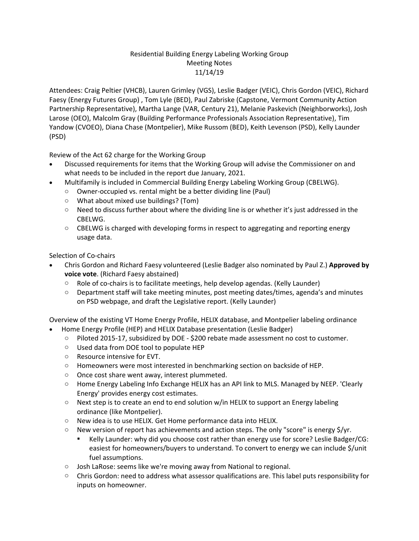## Residential Building Energy Labeling Working Group Meeting Notes 11/14/19

Attendees: Craig Peltier (VHCB), Lauren Grimley (VGS), Leslie Badger (VEIC), Chris Gordon (VEIC), Richard Faesy (Energy Futures Group) , Tom Lyle (BED), Paul Zabriske (Capstone, Vermont Community Action Partnership Representative), Martha Lange (VAR, Century 21), Melanie Paskevich (Neighborworks), Josh Larose (OEO), Malcolm Gray (Building Performance Professionals Association Representative), Tim Yandow (CVOEO), Diana Chase (Montpelier), Mike Russom (BED), Keith Levenson (PSD), Kelly Launder (PSD)

Review of the Act 62 charge for the Working Group

- Discussed requirements for items that the Working Group will advise the Commissioner on and what needs to be included in the report due January, 2021.
- Multifamily is included in Commercial Building Energy Labeling Working Group (CBELWG).
	- o Owner-occupied vs. rental might be a better dividing line (Paul)
	- o What about mixed use buildings? (Tom)
	- $\circ$  Need to discuss further about where the dividing line is or whether it's just addressed in the CBELWG.
	- $\circ$  CBELWG is charged with developing forms in respect to aggregating and reporting energy usage data.

Selection of Co-chairs

- Chris Gordon and Richard Faesy volunteered (Leslie Badger also nominated by Paul Z.) **Approved by voice vote**. (Richard Faesy abstained)
	- $\circ$  Role of co-chairs is to facilitate meetings, help develop agendas. (Kelly Launder)
	- o Department staff will take meeting minutes, post meeting dates/times, agenda's and minutes on PSD webpage, and draft the Legislative report. (Kelly Launder)

Overview of the existing VT Home Energy Profile, HELIX database, and Montpelier labeling ordinance

- [Home Energy Profile](file:///C:/Users/Keith.Levenson/Documents/Building%20Energy%20Labeling/Res%20Labeling%20Cmte%20Kickoff%2011%2014%2019.pptx) (HEP) and HELIX Database presentation (Leslie Badger)
	- o Piloted 2015-17, subsidized by DOE \$200 rebate made assessment no cost to customer.
	- o Used data from DOE tool to populate HEP
	- o Resource intensive for EVT.
	- o Homeowners were most interested in benchmarking section on backside of HEP.
	- o Once cost share went away, interest plummeted.
	- o Home Energy Labeling Info Exchange HELIX has an API link to MLS. Managed by NEEP. 'Clearly Energy' provides energy cost estimates.
	- $\circ$  Next step is to create an end to end solution w/in HELIX to support an Energy labeling ordinance (like Montpelier).
	- o New idea is to use HELIX. Get Home performance data into HELIX.
	- $\circ$  New version of report has achievements and action steps. The only "score" is energy \$/yr.
		- Kelly Launder: why did you choose cost rather than energy use for score? Leslie Badger/CG: easiest for homeowners/buyers to understand. To convert to energy we can include \$/unit fuel assumptions.
	- $\circ$  Josh LaRose: seems like we're moving away from National to regional.
	- $\circ$  Chris Gordon: need to address what assessor qualifications are. This label puts responsibility for inputs on homeowner.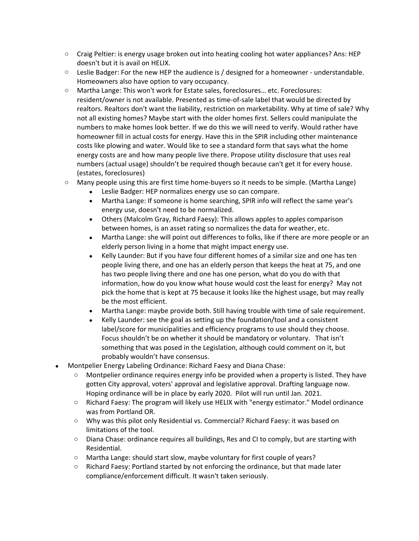- $\circ$  Craig Peltier: is energy usage broken out into heating cooling hot water appliances? Ans: HEP doesn't but it is avail on HELIX.
- $\circ$  Leslie Badger: For the new HEP the audience is / designed for a homeowner understandable. Homeowners also have option to vary occupancy.
- o Martha Lange: This won't work for Estate sales, foreclosures… etc. Foreclosures: resident/owner is not available. Presented as time-of-sale label that would be directed by realtors. Realtors don't want the liability, restriction on marketability. Why at time of sale? Why not all existing homes? Maybe start with the older homes first. Sellers could manipulate the numbers to make homes look better. If we do this we will need to verify. Would rather have homeowner fill in actual costs for energy. Have this in the SPIR including other maintenance costs like plowing and water. Would like to see a standard form that says what the home energy costs are and how many people live there. Propose utility disclosure that uses real numbers (actual usage) shouldn't be required though because can't get it for every house. (estates, foreclosures)
- o Many people using this are first time home-buyers so it needs to be simple. (Martha Lange)
	- Leslie Badger: HEP normalizes energy use so can compare.
	- Martha Lange: If someone is home searching, SPIR info will reflect the same year's energy use, doesn't need to be normalized.
	- Others (Malcolm Gray, Richard Faesy): This allows apples to apples comparison between homes, is an asset rating so normalizes the data for weather, etc.
	- Martha Lange: she will point out differences to folks, like if there are more people or an elderly person living in a home that might impact energy use.
	- Kelly Launder: But if you have four different homes of a similar size and one has ten people living there, and one has an elderly person that keeps the heat at 75, and one has two people living there and one has one person, what do you do with that information, how do you know what house would cost the least for energy? May not pick the home that is kept at 75 because it looks like the highest usage, but may really be the most efficient.
	- Martha Lange: maybe provide both. Still having trouble with time of sale requirement.
	- Kelly Launder: see the goal as setting up the foundation/tool and a consistent label/score for municipalities and efficiency programs to use should they choose. Focus shouldn't be on whether it should be mandatory or voluntary. That isn't something that was posed in the Legislation, although could comment on it, but probably wouldn't have consensus.
- Montpelier Energy Labeling Ordinance: Richard Faesy and Diana Chase:
	- Montpelier ordinance requires energy info be provided when a property is listed. They have gotten City approval, voters' approval and legislative approval. Drafting language now. Hoping ordinance will be in place by early 2020. Pilot will run until Jan. 2021.
	- o Richard Faesy: The program will likely use HELIX with "energy estimator." Model ordinance was from Portland OR.
	- o Why was this pilot only Residential vs. Commercial? Richard Faesy: it was based on limitations of the tool.
	- o Diana Chase: ordinance requires all buildings, Res and CI to comply, but are starting with Residential.
	- o Martha Lange: should start slow, maybe voluntary for first couple of years?
	- $\circ$  Richard Faesy: Portland started by not enforcing the ordinance, but that made later compliance/enforcement difficult. It wasn't taken seriously.